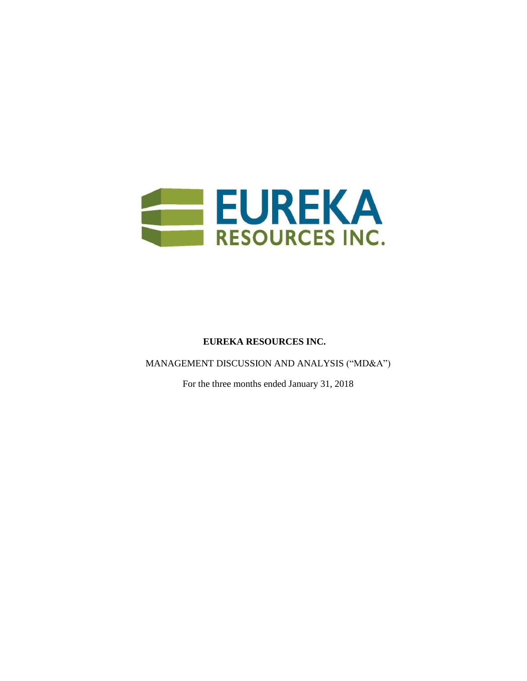

# **EUREKA RESOURCES INC.**

MANAGEMENT DISCUSSION AND ANALYSIS ("MD&A")

For the three months ended January 31, 2018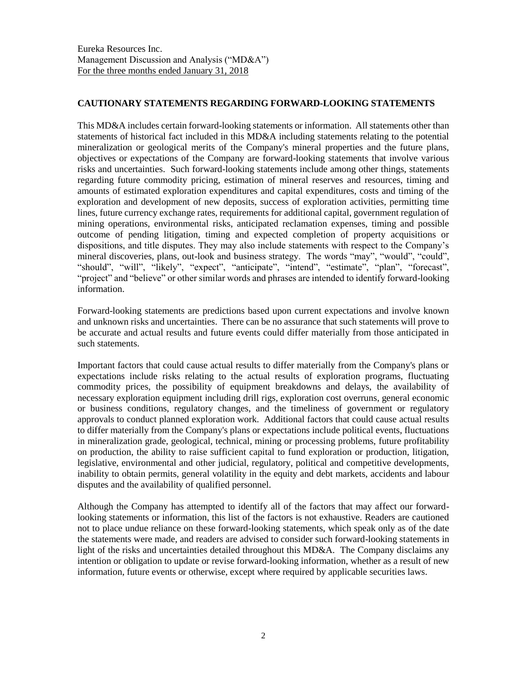## **CAUTIONARY STATEMENTS REGARDING FORWARD-LOOKING STATEMENTS**

This MD&A includes certain forward-looking statements or information. All statements other than statements of historical fact included in this MD&A including statements relating to the potential mineralization or geological merits of the Company's mineral properties and the future plans, objectives or expectations of the Company are forward-looking statements that involve various risks and uncertainties. Such forward-looking statements include among other things, statements regarding future commodity pricing, estimation of mineral reserves and resources, timing and amounts of estimated exploration expenditures and capital expenditures, costs and timing of the exploration and development of new deposits, success of exploration activities, permitting time lines, future currency exchange rates, requirements for additional capital, government regulation of mining operations, environmental risks, anticipated reclamation expenses, timing and possible outcome of pending litigation, timing and expected completion of property acquisitions or dispositions, and title disputes. They may also include statements with respect to the Company's mineral discoveries, plans, out-look and business strategy. The words "may", "would", "could", "should", "will", "likely", "expect", "anticipate", "intend", "estimate", "plan", "forecast", "project" and "believe" or other similar words and phrases are intended to identify forward-looking information.

Forward-looking statements are predictions based upon current expectations and involve known and unknown risks and uncertainties. There can be no assurance that such statements will prove to be accurate and actual results and future events could differ materially from those anticipated in such statements.

Important factors that could cause actual results to differ materially from the Company's plans or expectations include risks relating to the actual results of exploration programs, fluctuating commodity prices, the possibility of equipment breakdowns and delays, the availability of necessary exploration equipment including drill rigs, exploration cost overruns, general economic or business conditions, regulatory changes, and the timeliness of government or regulatory approvals to conduct planned exploration work. Additional factors that could cause actual results to differ materially from the Company's plans or expectations include political events, fluctuations in mineralization grade, geological, technical, mining or processing problems, future profitability on production, the ability to raise sufficient capital to fund exploration or production, litigation, legislative, environmental and other judicial, regulatory, political and competitive developments, inability to obtain permits, general volatility in the equity and debt markets, accidents and labour disputes and the availability of qualified personnel.

Although the Company has attempted to identify all of the factors that may affect our forwardlooking statements or information, this list of the factors is not exhaustive. Readers are cautioned not to place undue reliance on these forward-looking statements, which speak only as of the date the statements were made, and readers are advised to consider such forward-looking statements in light of the risks and uncertainties detailed throughout this MD&A. The Company disclaims any intention or obligation to update or revise forward-looking information, whether as a result of new information, future events or otherwise, except where required by applicable securities laws.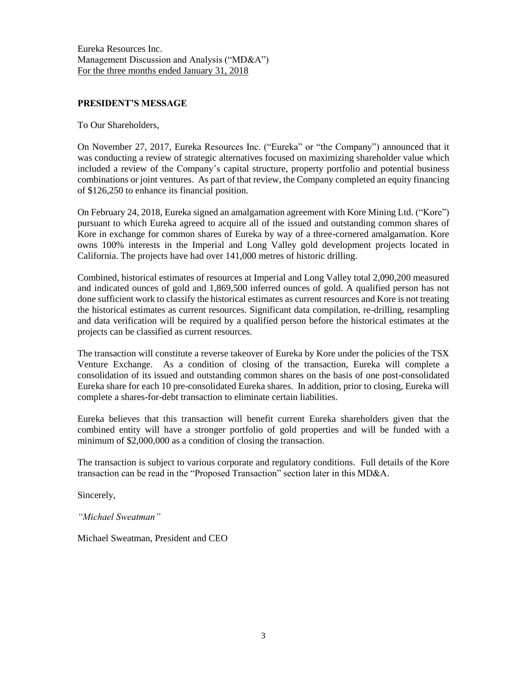## **PRESIDENT'S MESSAGE**

To Our Shareholders,

On November 27, 2017, Eureka Resources Inc. ("Eureka" or "the Company") announced that it was conducting a review of strategic alternatives focused on maximizing shareholder value which included a review of the Company's capital structure, property portfolio and potential business combinations or joint ventures. As part of that review, the Company completed an equity financing of \$126,250 to enhance its financial position.

On February 24, 2018, Eureka signed an amalgamation agreement with Kore Mining Ltd. ("Kore") pursuant to which Eureka agreed to acquire all of the issued and outstanding common shares of Kore in exchange for common shares of Eureka by way of a three-cornered amalgamation. Kore owns 100% interests in the Imperial and Long Valley gold development projects located in California. The projects have had over 141,000 metres of historic drilling.

Combined, historical estimates of resources at Imperial and Long Valley total 2,090,200 measured and indicated ounces of gold and 1,869,500 inferred ounces of gold. A qualified person has not done sufficient work to classify the historical estimates as current resources and Kore is not treating the historical estimates as current resources. Significant data compilation, re-drilling, resampling and data verification will be required by a qualified person before the historical estimates at the projects can be classified as current resources.

The transaction will constitute a reverse takeover of Eureka by Kore under the policies of the TSX Venture Exchange. As a condition of closing of the transaction, Eureka will complete a consolidation of its issued and outstanding common shares on the basis of one post-consolidated Eureka share for each 10 pre-consolidated Eureka shares. In addition, prior to closing, Eureka will complete a shares-for-debt transaction to eliminate certain liabilities.

Eureka believes that this transaction will benefit current Eureka shareholders given that the combined entity will have a stronger portfolio of gold properties and will be funded with a minimum of \$2,000,000 as a condition of closing the transaction.

The transaction is subject to various corporate and regulatory conditions. Full details of the Kore transaction can be read in the "Proposed Transaction" section later in this MD&A.

Sincerely,

*"Michael Sweatman"*

Michael Sweatman, President and CEO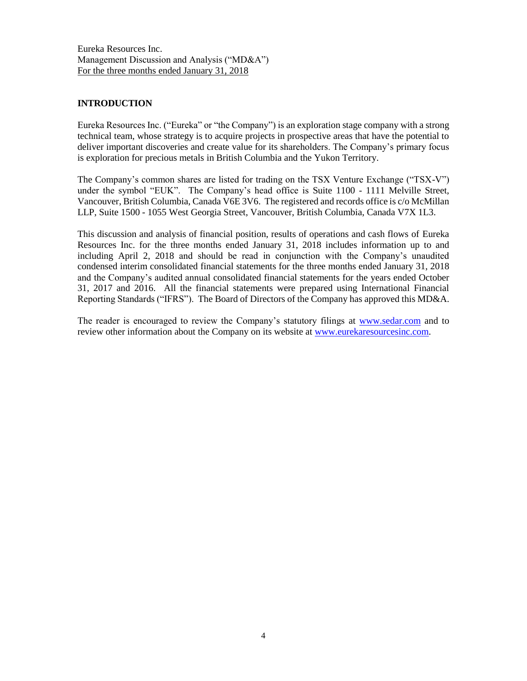## **INTRODUCTION**

Eureka Resources Inc. ("Eureka" or "the Company") is an exploration stage company with a strong technical team, whose strategy is to acquire projects in prospective areas that have the potential to deliver important discoveries and create value for its shareholders. The Company's primary focus is exploration for precious metals in British Columbia and the Yukon Territory.

The Company's common shares are listed for trading on the TSX Venture Exchange ("TSX-V") under the symbol "EUK". The Company's head office is Suite 1100 - 1111 Melville Street, Vancouver, British Columbia, Canada V6E 3V6. The registered and records office is c/o McMillan LLP, Suite 1500 - 1055 West Georgia Street, Vancouver, British Columbia, Canada V7X 1L3.

This discussion and analysis of financial position, results of operations and cash flows of Eureka Resources Inc. for the three months ended January 31, 2018 includes information up to and including April 2, 2018 and should be read in conjunction with the Company's unaudited condensed interim consolidated financial statements for the three months ended January 31, 2018 and the Company's audited annual consolidated financial statements for the years ended October 31, 2017 and 2016. All the financial statements were prepared using International Financial Reporting Standards ("IFRS"). The Board of Directors of the Company has approved this MD&A.

The reader is encouraged to review the Company's statutory filings at [www.sedar.com](http://www.sedar.com/) and to review other information about the Company on its website at [www.eurekaresourcesinc.com.](http://www.eurekaresourcesinc.com/)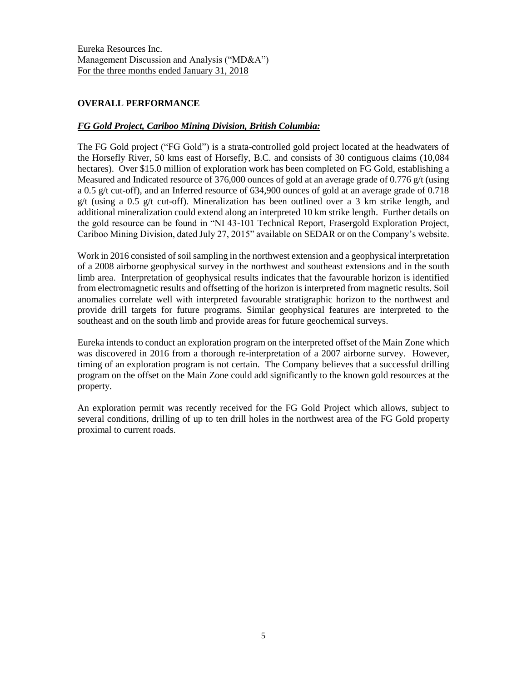# **OVERALL PERFORMANCE**

## *FG Gold Project, Cariboo Mining Division, British Columbia:*

The FG Gold project ("FG Gold") is a strata-controlled gold project located at the headwaters of the Horsefly River, 50 kms east of Horsefly, B.C. and consists of 30 contiguous claims (10,084 hectares). Over \$15.0 million of exploration work has been completed on FG Gold, establishing a Measured and Indicated resource of 376,000 ounces of gold at an average grade of 0.776 g/t (using a 0.5 g/t cut-off), and an Inferred resource of 634,900 ounces of gold at an average grade of 0.718  $g/t$  (using a 0.5 g/t cut-off). Mineralization has been outlined over a 3 km strike length, and additional mineralization could extend along an interpreted 10 km strike length. Further details on the gold resource can be found in "NI 43-101 Technical Report, Frasergold Exploration Project, Cariboo Mining Division, dated July 27, 2015" available on SEDAR or on the Company's website.

Work in 2016 consisted of soil sampling in the northwest extension and a geophysical interpretation of a 2008 airborne geophysical survey in the northwest and southeast extensions and in the south limb area. Interpretation of geophysical results indicates that the favourable horizon is identified from electromagnetic results and offsetting of the horizon is interpreted from magnetic results. Soil anomalies correlate well with interpreted favourable stratigraphic horizon to the northwest and provide drill targets for future programs. Similar geophysical features are interpreted to the southeast and on the south limb and provide areas for future geochemical surveys.

Eureka intends to conduct an exploration program on the interpreted offset of the Main Zone which was discovered in 2016 from a thorough re-interpretation of a 2007 airborne survey. However, timing of an exploration program is not certain. The Company believes that a successful drilling program on the offset on the Main Zone could add significantly to the known gold resources at the property.

An exploration permit was recently received for the FG Gold Project which allows, subject to several conditions, drilling of up to ten drill holes in the northwest area of the FG Gold property proximal to current roads.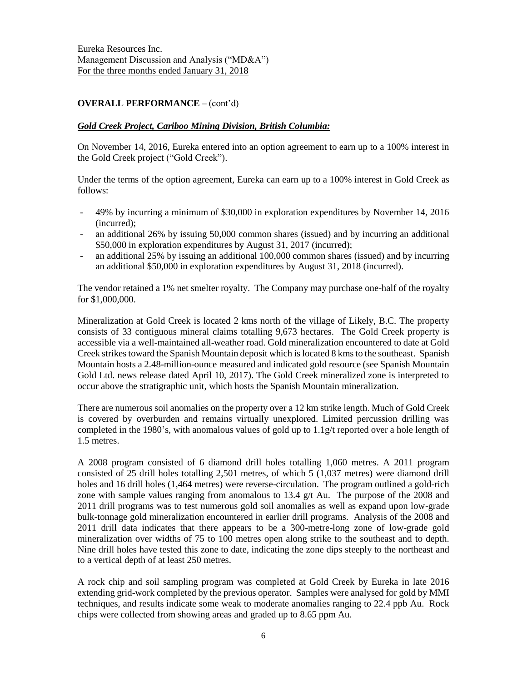## **OVERALL PERFORMANCE** – (cont'd)

### *Gold Creek Project, Cariboo Mining Division, British Columbia:*

On November 14, 2016, Eureka entered into an option agreement to earn up to a 100% interest in the Gold Creek project ("Gold Creek").

Under the terms of the option agreement, Eureka can earn up to a 100% interest in Gold Creek as follows:

- 49% by incurring a minimum of \$30,000 in exploration expenditures by November 14, 2016 (incurred);
- an additional 26% by issuing 50,000 common shares (issued) and by incurring an additional \$50,000 in exploration expenditures by August 31, 2017 (incurred);
- an additional 25% by issuing an additional 100,000 common shares (issued) and by incurring an additional \$50,000 in exploration expenditures by August 31, 2018 (incurred).

The vendor retained a 1% net smelter royalty. The Company may purchase one-half of the royalty for \$1,000,000.

Mineralization at Gold Creek is located 2 kms north of the village of Likely, B.C. The property consists of 33 contiguous mineral claims totalling 9,673 hectares. The Gold Creek property is accessible via a well-maintained all-weather road. Gold mineralization encountered to date at Gold Creek strikes toward the Spanish Mountain deposit which is located 8 kmsto the southeast. Spanish Mountain hosts a 2.48-million-ounce measured and indicated gold resource (see Spanish Mountain Gold Ltd. news release dated April 10, 2017). The Gold Creek mineralized zone is interpreted to occur above the stratigraphic unit, which hosts the Spanish Mountain mineralization.

There are numerous soil anomalies on the property over a 12 km strike length. Much of Gold Creek is covered by overburden and remains virtually unexplored. Limited percussion drilling was completed in the 1980's, with anomalous values of gold up to 1.1g/t reported over a hole length of 1.5 metres.

A 2008 program consisted of 6 diamond drill holes totalling 1,060 metres. A 2011 program consisted of 25 drill holes totalling 2,501 metres, of which 5 (1,037 metres) were diamond drill holes and 16 drill holes (1,464 metres) were reverse-circulation. The program outlined a gold-rich zone with sample values ranging from anomalous to 13.4 g/t Au. The purpose of the 2008 and 2011 drill programs was to test numerous gold soil anomalies as well as expand upon low-grade bulk-tonnage gold mineralization encountered in earlier drill programs. Analysis of the 2008 and 2011 drill data indicates that there appears to be a 300-metre-long zone of low-grade gold mineralization over widths of 75 to 100 metres open along strike to the southeast and to depth. Nine drill holes have tested this zone to date, indicating the zone dips steeply to the northeast and to a vertical depth of at least 250 metres.

A rock chip and soil sampling program was completed at Gold Creek by Eureka in late 2016 extending grid-work completed by the previous operator. Samples were analysed for gold by MMI techniques, and results indicate some weak to moderate anomalies ranging to 22.4 ppb Au. Rock chips were collected from showing areas and graded up to 8.65 ppm Au.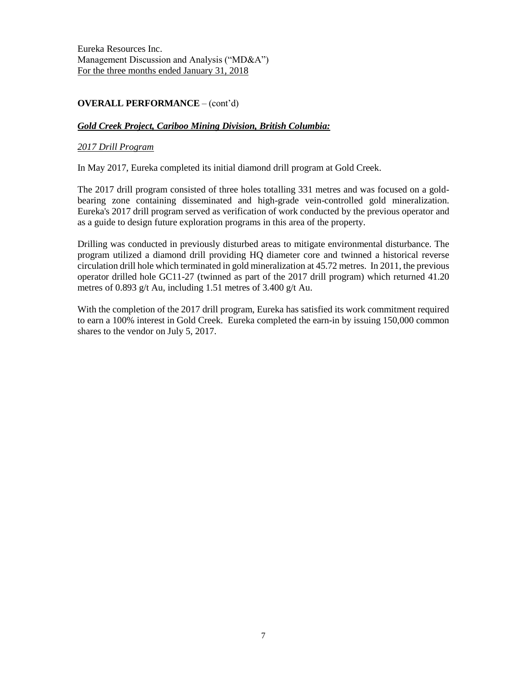# **OVERALL PERFORMANCE** – (cont'd)

## *Gold Creek Project, Cariboo Mining Division, British Columbia:*

### *2017 Drill Program*

In May 2017, Eureka completed its initial diamond drill program at Gold Creek.

The 2017 drill program consisted of three holes totalling 331 metres and was focused on a goldbearing zone containing disseminated and high-grade vein-controlled gold mineralization. Eureka's 2017 drill program served as verification of work conducted by the previous operator and as a guide to design future exploration programs in this area of the property.

Drilling was conducted in previously disturbed areas to mitigate environmental disturbance. The program utilized a diamond drill providing HQ diameter core and twinned a historical reverse circulation drill hole which terminated in gold mineralization at 45.72 metres. In 2011, the previous operator drilled hole GC11-27 (twinned as part of the 2017 drill program) which returned 41.20 metres of 0.893 g/t Au, including 1.51 metres of 3.400 g/t Au.

With the completion of the 2017 drill program, Eureka has satisfied its work commitment required to earn a 100% interest in Gold Creek. Eureka completed the earn-in by issuing 150,000 common shares to the vendor on July 5, 2017.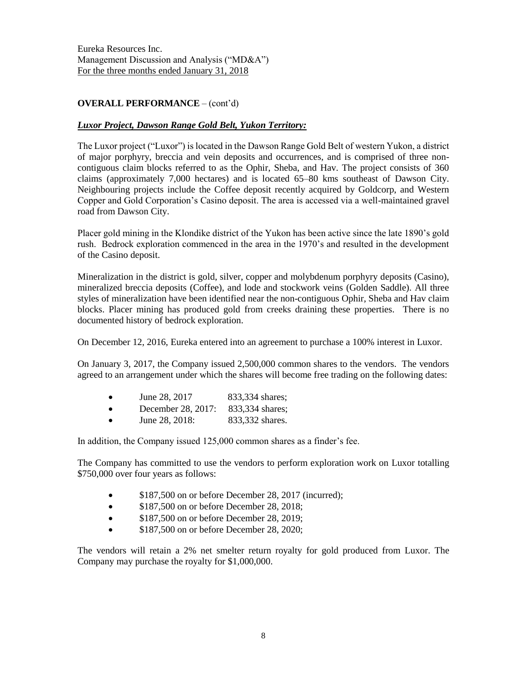# **OVERALL PERFORMANCE** – (cont'd)

## *Luxor Project, Dawson Range Gold Belt, Yukon Territory:*

The Luxor project ("Luxor") is located in the Dawson Range Gold Belt of western Yukon, a district of major porphyry, breccia and vein deposits and occurrences, and is comprised of three noncontiguous claim blocks referred to as the Ophir, Sheba, and Hav. The project consists of 360 claims (approximately 7,000 hectares) and is located 65–80 kms southeast of Dawson City. Neighbouring projects include the Coffee deposit recently acquired by Goldcorp, and Western Copper and Gold Corporation's Casino deposit. The area is accessed via a well-maintained gravel road from Dawson City.

Placer gold mining in the Klondike district of the Yukon has been active since the late 1890's gold rush. Bedrock exploration commenced in the area in the 1970's and resulted in the development of the Casino deposit.

Mineralization in the district is gold, silver, copper and molybdenum porphyry deposits (Casino), mineralized breccia deposits (Coffee), and lode and stockwork veins (Golden Saddle). All three styles of mineralization have been identified near the non-contiguous Ophir, Sheba and Hav claim blocks. Placer mining has produced gold from creeks draining these properties. There is no documented history of bedrock exploration.

On December 12, 2016, Eureka entered into an agreement to purchase a 100% interest in Luxor.

On January 3, 2017, the Company issued 2,500,000 common shares to the vendors. The vendors agreed to an arrangement under which the shares will become free trading on the following dates:

- December 28, 2017: 833,334 shares;
- June 28, 2018: 833,332 shares.

In addition, the Company issued 125,000 common shares as a finder's fee.

The Company has committed to use the vendors to perform exploration work on Luxor totalling \$750,000 over four years as follows:

- \$187,500 on or before December 28, 2017 (incurred);
- \$187,500 on or before December 28, 2018;
- \$187,500 on or before December 28, 2019;
- \$187,500 on or before December 28, 2020;

The vendors will retain a 2% net smelter return royalty for gold produced from Luxor. The Company may purchase the royalty for \$1,000,000.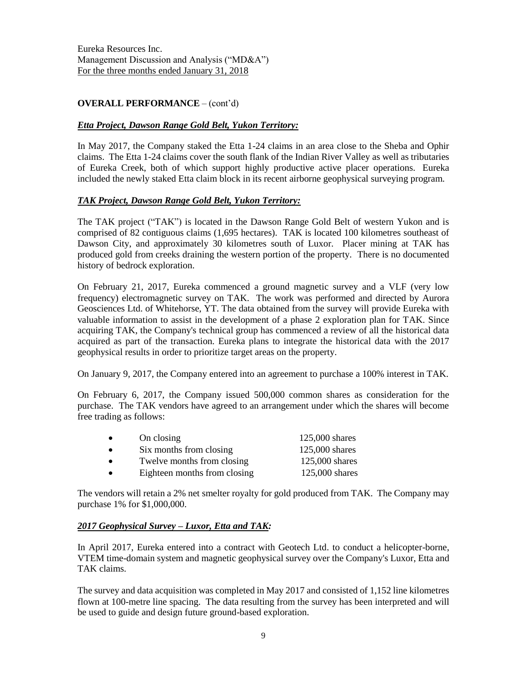# **OVERALL PERFORMANCE** – (cont'd)

## *Etta Project, Dawson Range Gold Belt, Yukon Territory:*

In May 2017, the Company staked the Etta 1-24 claims in an area close to the Sheba and Ophir claims. The Etta 1-24 claims cover the south flank of the Indian River Valley as well as tributaries of Eureka Creek, both of which support highly productive active placer operations. Eureka included the newly staked Etta claim block in its recent airborne geophysical surveying program.

## *TAK Project, Dawson Range Gold Belt, Yukon Territory:*

The TAK project ("TAK") is located in the Dawson Range Gold Belt of western Yukon and is comprised of 82 contiguous claims (1,695 hectares). TAK is located 100 kilometres southeast of Dawson City, and approximately 30 kilometres south of Luxor. Placer mining at TAK has produced gold from creeks draining the western portion of the property. There is no documented history of bedrock exploration.

On February 21, 2017, Eureka commenced a ground magnetic survey and a VLF (very low frequency) electromagnetic survey on TAK. The work was performed and directed by Aurora Geosciences Ltd. of Whitehorse, YT. The data obtained from the survey will provide Eureka with valuable information to assist in the development of a phase 2 exploration plan for TAK. Since acquiring TAK, the Company's technical group has commenced a review of all the historical data acquired as part of the transaction. Eureka plans to integrate the historical data with the 2017 geophysical results in order to prioritize target areas on the property.

On January 9, 2017, the Company entered into an agreement to purchase a 100% interest in TAK.

On February 6, 2017, the Company issued 500,000 common shares as consideration for the purchase. The TAK vendors have agreed to an arrangement under which the shares will become free trading as follows:

| $\bullet$ | On closing                   | $125,000$ shares |
|-----------|------------------------------|------------------|
| $\bullet$ | Six months from closing      | 125,000 shares   |
| $\bullet$ | Twelve months from closing   | $125,000$ shares |
| $\bullet$ | Eighteen months from closing | 125,000 shares   |

The vendors will retain a 2% net smelter royalty for gold produced from TAK. The Company may purchase 1% for \$1,000,000.

## *2017 Geophysical Survey – Luxor, Etta and TAK:*

In April 2017, Eureka entered into a contract with Geotech Ltd. to conduct a helicopter-borne, VTEM time-domain system and magnetic geophysical survey over the Company's Luxor, Etta and TAK claims.

The survey and data acquisition was completed in May 2017 and consisted of 1,152 line kilometres flown at 100-metre line spacing. The data resulting from the survey has been interpreted and will be used to guide and design future ground-based exploration.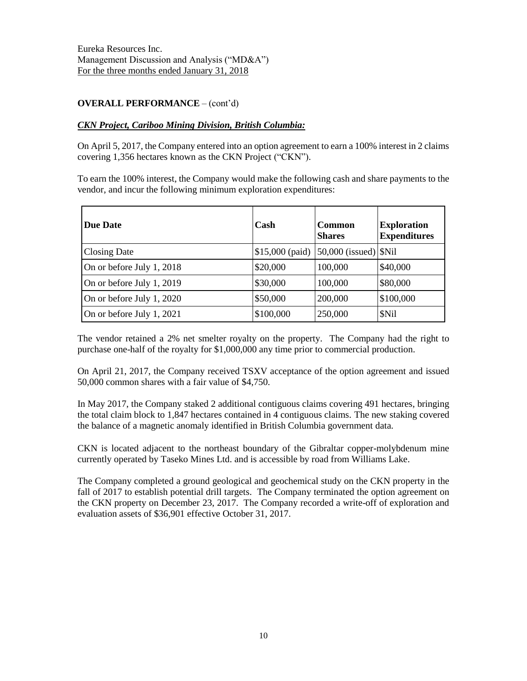# **OVERALL PERFORMANCE** – (cont'd)

## *CKN Project, Cariboo Mining Division, British Columbia:*

On April 5, 2017, the Company entered into an option agreement to earn a 100% interest in 2 claims covering 1,356 hectares known as the CKN Project ("CKN").

To earn the 100% interest, the Company would make the following cash and share payments to the vendor, and incur the following minimum exploration expenditures:

| <b>Due Date</b>           | Cash      | <b>Common</b><br><b>Shares</b>               | <b>Exploration</b><br><b>Expenditures</b> |
|---------------------------|-----------|----------------------------------------------|-------------------------------------------|
| <b>Closing Date</b>       |           | $$15,000$ (paid) $ 50,000$ (issued) $ \$Nil$ |                                           |
| On or before July 1, 2018 | \$20,000  | 100,000                                      | \$40,000                                  |
| On or before July 1, 2019 | \$30,000  | 100,000                                      | \$80,000                                  |
| On or before July 1, 2020 | \$50,000  | 200,000                                      | \$100,000                                 |
| On or before July 1, 2021 | \$100,000 | 250,000                                      | \$Nil                                     |

The vendor retained a 2% net smelter royalty on the property. The Company had the right to purchase one-half of the royalty for \$1,000,000 any time prior to commercial production.

On April 21, 2017, the Company received TSXV acceptance of the option agreement and issued 50,000 common shares with a fair value of \$4,750.

In May 2017, the Company staked 2 additional contiguous claims covering 491 hectares, bringing the total claim block to 1,847 hectares contained in 4 contiguous claims. The new staking covered the balance of a magnetic anomaly identified in British Columbia government data.

CKN is located adjacent to the northeast boundary of the Gibraltar copper-molybdenum mine currently operated by Taseko Mines Ltd. and is accessible by road from Williams Lake.

The Company completed a ground geological and geochemical study on the CKN property in the fall of 2017 to establish potential drill targets. The Company terminated the option agreement on the CKN property on December 23, 2017. The Company recorded a write-off of exploration and evaluation assets of \$36,901 effective October 31, 2017.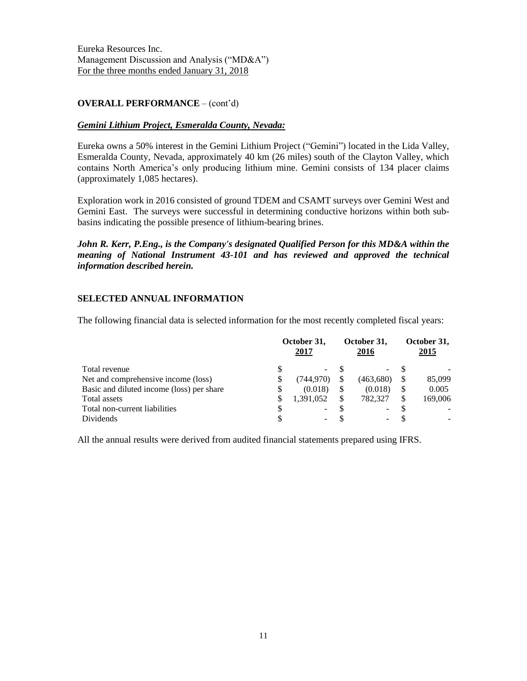## **OVERALL PERFORMANCE** – (cont'd)

## *Gemini Lithium Project, Esmeralda County, Nevada:*

Eureka owns a 50% interest in the Gemini Lithium Project ("Gemini") located in the Lida Valley, Esmeralda County, Nevada, approximately 40 km (26 miles) south of the Clayton Valley, which contains North America's only producing lithium mine. Gemini consists of 134 placer claims (approximately 1,085 hectares).

Exploration work in 2016 consisted of ground TDEM and CSAMT surveys over Gemini West and Gemini East. The surveys were successful in determining conductive horizons within both subbasins indicating the possible presence of lithium-bearing brines.

*John R. Kerr, P.Eng., is the Company's designated Qualified Person for this MD&A within the meaning of National Instrument 43-101 and has reviewed and approved the technical information described herein.*

## **SELECTED ANNUAL INFORMATION**

The following financial data is selected information for the most recently completed fiscal years:

|                                           | October 31,<br>2017 |                          |  | October 31,<br>2016      |  | October 31,<br>2015 |  |
|-------------------------------------------|---------------------|--------------------------|--|--------------------------|--|---------------------|--|
| Total revenue                             |                     | $\overline{\phantom{0}}$ |  | $\overline{\phantom{0}}$ |  |                     |  |
| Net and comprehensive income (loss)       | S.                  | (744.970)                |  | (463,680)                |  | 85,099              |  |
| Basic and diluted income (loss) per share | S                   | (0.018)                  |  | (0.018)                  |  | 0.005               |  |
| Total assets                              |                     | 1,391,052                |  | 782,327                  |  | 169,006             |  |
| Total non-current liabilities             |                     | ۰.                       |  |                          |  |                     |  |
| Dividends                                 |                     |                          |  |                          |  |                     |  |

All the annual results were derived from audited financial statements prepared using IFRS.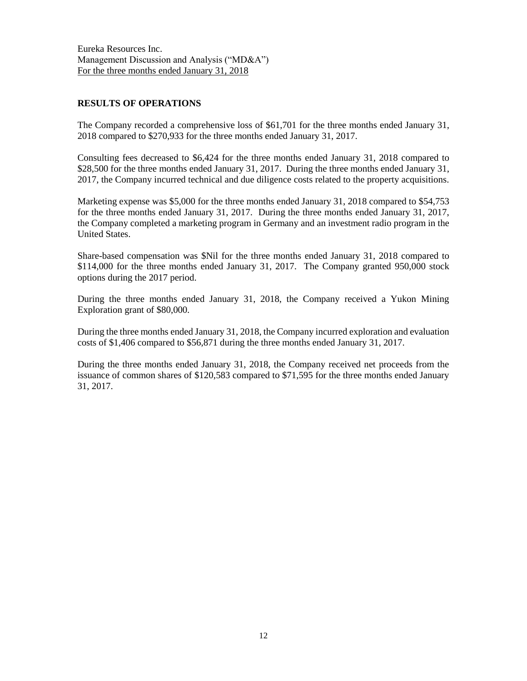## **RESULTS OF OPERATIONS**

The Company recorded a comprehensive loss of \$61,701 for the three months ended January 31, 2018 compared to \$270,933 for the three months ended January 31, 2017.

Consulting fees decreased to \$6,424 for the three months ended January 31, 2018 compared to \$28,500 for the three months ended January 31, 2017. During the three months ended January 31, 2017, the Company incurred technical and due diligence costs related to the property acquisitions.

Marketing expense was \$5,000 for the three months ended January 31, 2018 compared to \$54,753 for the three months ended January 31, 2017. During the three months ended January 31, 2017, the Company completed a marketing program in Germany and an investment radio program in the United States.

Share-based compensation was \$Nil for the three months ended January 31, 2018 compared to \$114,000 for the three months ended January 31, 2017. The Company granted 950,000 stock options during the 2017 period.

During the three months ended January 31, 2018, the Company received a Yukon Mining Exploration grant of \$80,000.

During the three months ended January 31, 2018, the Company incurred exploration and evaluation costs of \$1,406 compared to \$56,871 during the three months ended January 31, 2017.

During the three months ended January 31, 2018, the Company received net proceeds from the issuance of common shares of \$120,583 compared to \$71,595 for the three months ended January 31, 2017.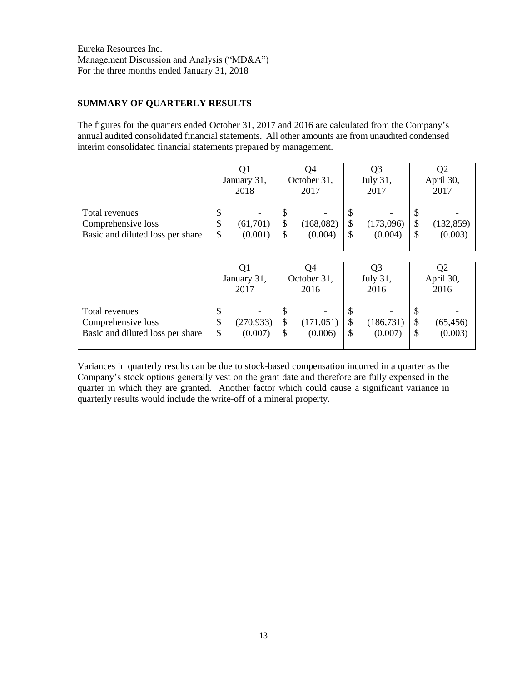# **SUMMARY OF QUARTERLY RESULTS**

The figures for the quarters ended October 31, 2017 and 2016 are calculated from the Company's annual audited consolidated financial statements. All other amounts are from unaudited condensed interim consolidated financial statements prepared by management.

|                                                                          |                | ÛI<br>January 31,<br>2018 |        | Ο4<br>October 31,<br>2017                        |        | Q3<br>July 31,<br>2017 |   | Q2<br>April 30,<br>2017 |
|--------------------------------------------------------------------------|----------------|---------------------------|--------|--------------------------------------------------|--------|------------------------|---|-------------------------|
| Total revenues<br>Comprehensive loss<br>Basic and diluted loss per share | \$<br>\$<br>\$ | (61, 701)<br>(0.001)      | D<br>S | $\overline{\phantom{a}}$<br>(168,082)<br>(0.004) | J<br>S | (173,096)<br>(0.004)   | S | (132, 859)<br>(0.003)   |

|                                                                          |                | January 31,<br>2017   |    | Ο4<br>October 31,<br>2016  | Q3<br>July 31,<br>2016 | Q2<br>April 30,<br>2016    |
|--------------------------------------------------------------------------|----------------|-----------------------|----|----------------------------|------------------------|----------------------------|
| Total revenues<br>Comprehensive loss<br>Basic and diluted loss per share | \$<br>\$<br>\$ | (270, 933)<br>(0.007) | ۰U | -<br>(171, 051)<br>(0.006) | (186, 731)<br>(0.007)  | \$<br>(65, 456)<br>(0.003) |

Variances in quarterly results can be due to stock-based compensation incurred in a quarter as the Company's stock options generally vest on the grant date and therefore are fully expensed in the quarter in which they are granted. Another factor which could cause a significant variance in quarterly results would include the write-off of a mineral property.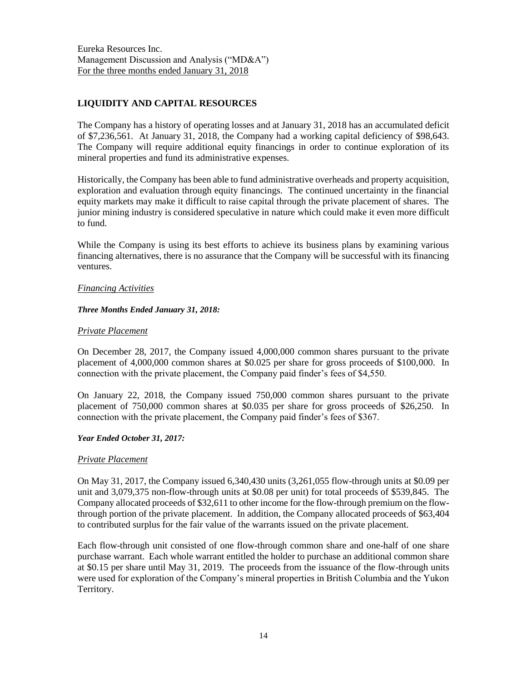# **LIQUIDITY AND CAPITAL RESOURCES**

The Company has a history of operating losses and at January 31, 2018 has an accumulated deficit of \$7,236,561. At January 31, 2018, the Company had a working capital deficiency of \$98,643. The Company will require additional equity financings in order to continue exploration of its mineral properties and fund its administrative expenses.

Historically, the Company has been able to fund administrative overheads and property acquisition, exploration and evaluation through equity financings. The continued uncertainty in the financial equity markets may make it difficult to raise capital through the private placement of shares. The junior mining industry is considered speculative in nature which could make it even more difficult to fund.

While the Company is using its best efforts to achieve its business plans by examining various financing alternatives, there is no assurance that the Company will be successful with its financing ventures.

## *Financing Activities*

## *Three Months Ended January 31, 2018:*

## *Private Placement*

On December 28, 2017, the Company issued 4,000,000 common shares pursuant to the private placement of 4,000,000 common shares at \$0.025 per share for gross proceeds of \$100,000. In connection with the private placement, the Company paid finder's fees of \$4,550.

On January 22, 2018, the Company issued 750,000 common shares pursuant to the private placement of 750,000 common shares at \$0.035 per share for gross proceeds of \$26,250. In connection with the private placement, the Company paid finder's fees of \$367.

## *Year Ended October 31, 2017:*

## *Private Placement*

On May 31, 2017, the Company issued 6,340,430 units (3,261,055 flow-through units at \$0.09 per unit and 3,079,375 non-flow-through units at \$0.08 per unit) for total proceeds of \$539,845. The Company allocated proceeds of \$32,611 to other income for the flow-through premium on the flowthrough portion of the private placement. In addition, the Company allocated proceeds of \$63,404 to contributed surplus for the fair value of the warrants issued on the private placement.

Each flow-through unit consisted of one flow-through common share and one-half of one share purchase warrant. Each whole warrant entitled the holder to purchase an additional common share at \$0.15 per share until May 31, 2019. The proceeds from the issuance of the flow-through units were used for exploration of the Company's mineral properties in British Columbia and the Yukon Territory.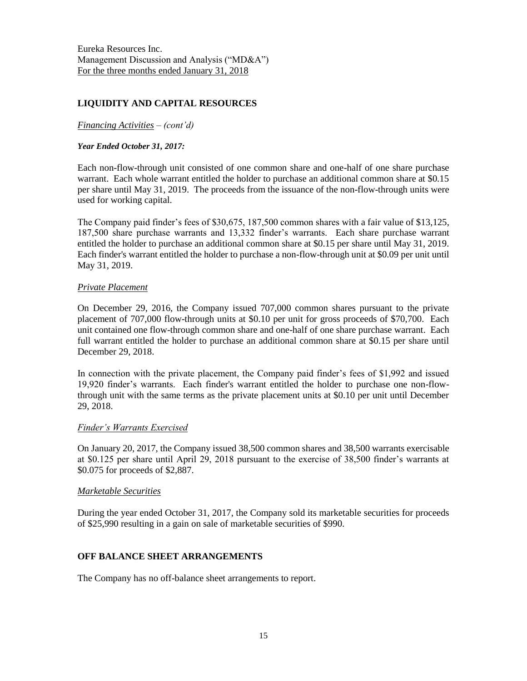# **LIQUIDITY AND CAPITAL RESOURCES**

### *Financing Activities – (cont'd)*

#### *Year Ended October 31, 2017:*

Each non-flow-through unit consisted of one common share and one-half of one share purchase warrant. Each whole warrant entitled the holder to purchase an additional common share at \$0.15 per share until May 31, 2019. The proceeds from the issuance of the non-flow-through units were used for working capital.

The Company paid finder's fees of \$30,675, 187,500 common shares with a fair value of \$13,125, 187,500 share purchase warrants and 13,332 finder's warrants. Each share purchase warrant entitled the holder to purchase an additional common share at \$0.15 per share until May 31, 2019. Each finder's warrant entitled the holder to purchase a non-flow-through unit at \$0.09 per unit until May 31, 2019.

#### *Private Placement*

On December 29, 2016, the Company issued 707,000 common shares pursuant to the private placement of 707,000 flow-through units at \$0.10 per unit for gross proceeds of \$70,700. Each unit contained one flow-through common share and one-half of one share purchase warrant. Each full warrant entitled the holder to purchase an additional common share at \$0.15 per share until December 29, 2018.

In connection with the private placement, the Company paid finder's fees of \$1,992 and issued 19,920 finder's warrants. Each finder's warrant entitled the holder to purchase one non-flowthrough unit with the same terms as the private placement units at \$0.10 per unit until December 29, 2018.

#### *Finder's Warrants Exercised*

On January 20, 2017, the Company issued 38,500 common shares and 38,500 warrants exercisable at \$0.125 per share until April 29, 2018 pursuant to the exercise of 38,500 finder's warrants at \$0.075 for proceeds of \$2,887.

#### *Marketable Securities*

During the year ended October 31, 2017, the Company sold its marketable securities for proceeds of \$25,990 resulting in a gain on sale of marketable securities of \$990.

## **OFF BALANCE SHEET ARRANGEMENTS**

The Company has no off-balance sheet arrangements to report.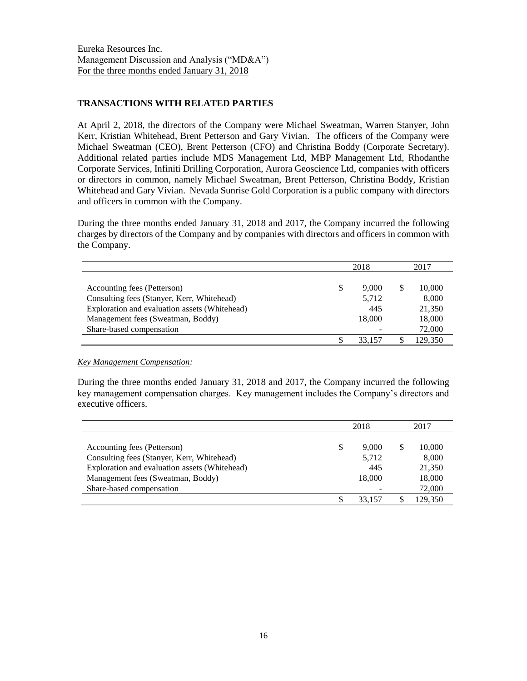## **TRANSACTIONS WITH RELATED PARTIES**

At April 2, 2018, the directors of the Company were Michael Sweatman, Warren Stanyer, John Kerr, Kristian Whitehead, Brent Petterson and Gary Vivian. The officers of the Company were Michael Sweatman (CEO), Brent Petterson (CFO) and Christina Boddy (Corporate Secretary). Additional related parties include MDS Management Ltd, MBP Management Ltd, Rhodanthe Corporate Services, Infiniti Drilling Corporation, Aurora Geoscience Ltd, companies with officers or directors in common, namely Michael Sweatman, Brent Petterson, Christina Boddy, Kristian Whitehead and Gary Vivian. Nevada Sunrise Gold Corporation is a public company with directors and officers in common with the Company.

During the three months ended January 31, 2018 and 2017, the Company incurred the following charges by directors of the Company and by companies with directors and officers in common with the Company.

|                                               |    | 2018   |   | 2017    |
|-----------------------------------------------|----|--------|---|---------|
|                                               |    |        |   |         |
| Accounting fees (Petterson)                   | \$ | 9.000  | S | 10,000  |
| Consulting fees (Stanyer, Kerr, Whitehead)    |    | 5,712  |   | 8,000   |
| Exploration and evaluation assets (Whitehead) |    | 445    |   | 21,350  |
| Management fees (Sweatman, Boddy)             |    | 18,000 |   | 18,000  |
| Share-based compensation                      |    |        |   | 72,000  |
|                                               | S  | 33.157 |   | 129.350 |

*Key Management Compensation:*

During the three months ended January 31, 2018 and 2017, the Company incurred the following key management compensation charges. Key management includes the Company's directors and executive officers.

|                                               | 2018        |   | 2017    |
|-----------------------------------------------|-------------|---|---------|
|                                               |             |   |         |
| Accounting fees (Petterson)                   | \$<br>9.000 | S | 10,000  |
| Consulting fees (Stanyer, Kerr, Whitehead)    | 5,712       |   | 8,000   |
| Exploration and evaluation assets (Whitehead) | 445         |   | 21,350  |
| Management fees (Sweatman, Boddy)             | 18,000      |   | 18,000  |
| Share-based compensation                      |             |   | 72,000  |
|                                               | 33.157      |   | 129.350 |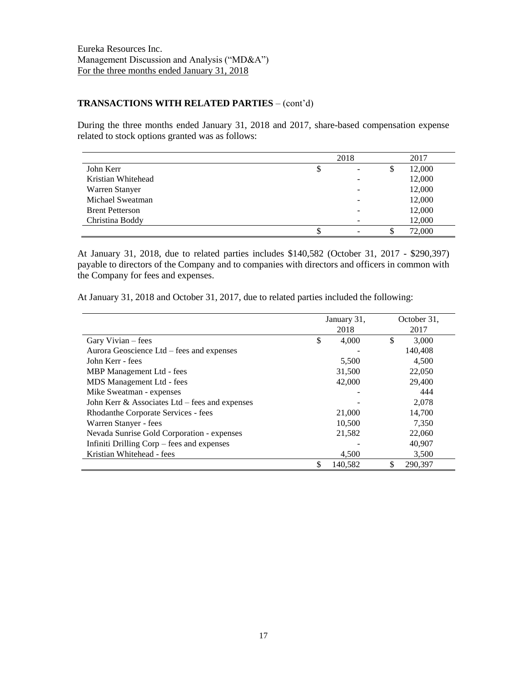## **TRANSACTIONS WITH RELATED PARTIES** – (cont'd)

During the three months ended January 31, 2018 and 2017, share-based compensation expense related to stock options granted was as follows:

|                        | 2018 |  |    | 2017   |
|------------------------|------|--|----|--------|
| John Kerr              | \$   |  | \$ | 12,000 |
| Kristian Whitehead     |      |  |    | 12,000 |
| Warren Stanyer         |      |  |    | 12,000 |
| Michael Sweatman       |      |  |    | 12,000 |
| <b>Brent Petterson</b> |      |  |    | 12,000 |
| Christina Boddy        |      |  |    | 12,000 |
|                        |      |  | \$ | 72,000 |

At January 31, 2018, due to related parties includes \$140,582 (October 31, 2017 - \$290,397) payable to directors of the Company and to companies with directors and officers in common with the Company for fees and expenses.

At January 31, 2018 and October 31, 2017, due to related parties included the following:

|                                                | January 31, |         | October 31,   |
|------------------------------------------------|-------------|---------|---------------|
|                                                |             | 2018    | 2017          |
| Gary Vivian – fees                             | \$          | 4,000   | \$<br>3,000   |
| Aurora Geoscience Ltd – fees and expenses      |             |         | 140,408       |
| John Kerr - fees                               |             | 5,500   | 4,500         |
| MBP Management Ltd - fees                      |             | 31,500  | 22,050        |
| MDS Management Ltd - fees                      |             | 42,000  | 29,400        |
| Mike Sweatman - expenses                       |             |         | 444           |
| John Kerr & Associates Ltd – fees and expenses |             |         | 2.078         |
| Rhodanthe Corporate Services - fees            |             | 21,000  | 14,700        |
| Warren Stanyer - fees                          |             | 10.500  | 7.350         |
| Nevada Sunrise Gold Corporation - expenses     |             | 21,582  | 22,060        |
| Infiniti Drilling Corp – fees and expenses     |             |         | 40,907        |
| Kristian Whitehead - fees                      |             | 4,500   | 3,500         |
|                                                |             | 140,582 | \$<br>290,397 |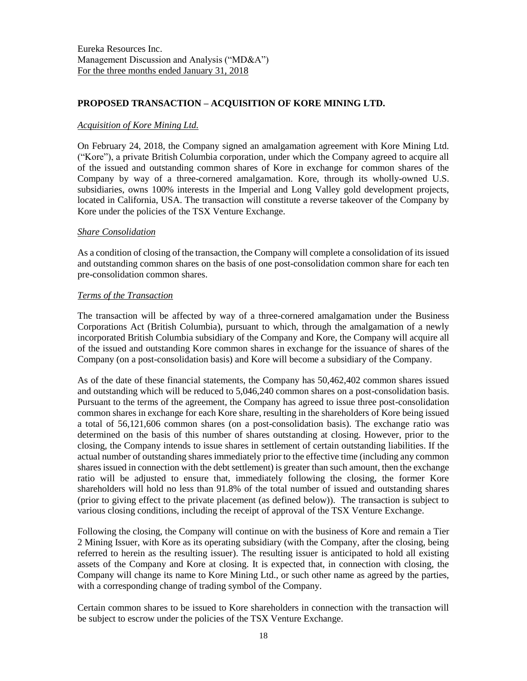## **PROPOSED TRANSACTION – ACQUISITION OF KORE MINING LTD.**

## *Acquisition of Kore Mining Ltd.*

On February 24, 2018, the Company signed an amalgamation agreement with Kore Mining Ltd. ("Kore"), a private British Columbia corporation, under which the Company agreed to acquire all of the issued and outstanding common shares of Kore in exchange for common shares of the Company by way of a three-cornered amalgamation. Kore, through its wholly-owned U.S. subsidiaries, owns 100% interests in the Imperial and Long Valley gold development projects, located in California, USA. The transaction will constitute a reverse takeover of the Company by Kore under the policies of the TSX Venture Exchange.

#### *Share Consolidation*

As a condition of closing of the transaction, the Company will complete a consolidation of its issued and outstanding common shares on the basis of one post-consolidation common share for each ten pre-consolidation common shares.

#### *Terms of the Transaction*

The transaction will be affected by way of a three-cornered amalgamation under the Business Corporations Act (British Columbia), pursuant to which, through the amalgamation of a newly incorporated British Columbia subsidiary of the Company and Kore, the Company will acquire all of the issued and outstanding Kore common shares in exchange for the issuance of shares of the Company (on a post-consolidation basis) and Kore will become a subsidiary of the Company.

As of the date of these financial statements, the Company has 50,462,402 common shares issued and outstanding which will be reduced to 5,046,240 common shares on a post-consolidation basis. Pursuant to the terms of the agreement, the Company has agreed to issue three post-consolidation common shares in exchange for each Kore share, resulting in the shareholders of Kore being issued a total of 56,121,606 common shares (on a post-consolidation basis). The exchange ratio was determined on the basis of this number of shares outstanding at closing. However, prior to the closing, the Company intends to issue shares in settlement of certain outstanding liabilities. If the actual number of outstanding shares immediately prior to the effective time (including any common shares issued in connection with the debt settlement) is greater than such amount, then the exchange ratio will be adjusted to ensure that, immediately following the closing, the former Kore shareholders will hold no less than 91.8% of the total number of issued and outstanding shares (prior to giving effect to the private placement (as defined below)). The transaction is subject to various closing conditions, including the receipt of approval of the TSX Venture Exchange.

Following the closing, the Company will continue on with the business of Kore and remain a Tier 2 Mining Issuer, with Kore as its operating subsidiary (with the Company, after the closing, being referred to herein as the resulting issuer). The resulting issuer is anticipated to hold all existing assets of the Company and Kore at closing. It is expected that, in connection with closing, the Company will change its name to Kore Mining Ltd., or such other name as agreed by the parties, with a corresponding change of trading symbol of the Company.

Certain common shares to be issued to Kore shareholders in connection with the transaction will be subject to escrow under the policies of the TSX Venture Exchange.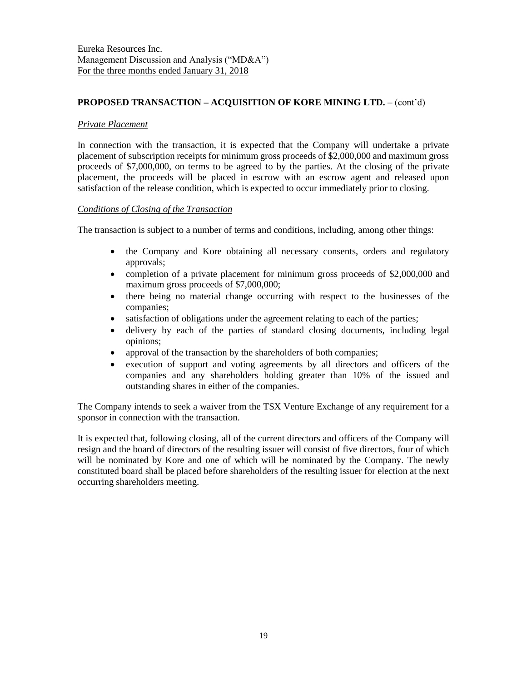## **PROPOSED TRANSACTION – ACQUISITION OF KORE MINING LTD.** – (cont'd)

#### *Private Placement*

In connection with the transaction, it is expected that the Company will undertake a private placement of subscription receipts for minimum gross proceeds of \$2,000,000 and maximum gross proceeds of \$7,000,000, on terms to be agreed to by the parties. At the closing of the private placement, the proceeds will be placed in escrow with an escrow agent and released upon satisfaction of the release condition, which is expected to occur immediately prior to closing.

## *Conditions of Closing of the Transaction*

The transaction is subject to a number of terms and conditions, including, among other things:

- the Company and Kore obtaining all necessary consents, orders and regulatory approvals;
- completion of a private placement for minimum gross proceeds of \$2,000,000 and maximum gross proceeds of \$7,000,000;
- there being no material change occurring with respect to the businesses of the companies;
- satisfaction of obligations under the agreement relating to each of the parties;
- delivery by each of the parties of standard closing documents, including legal opinions;
- approval of the transaction by the shareholders of both companies;
- execution of support and voting agreements by all directors and officers of the companies and any shareholders holding greater than 10% of the issued and outstanding shares in either of the companies.

The Company intends to seek a waiver from the TSX Venture Exchange of any requirement for a sponsor in connection with the transaction.

It is expected that, following closing, all of the current directors and officers of the Company will resign and the board of directors of the resulting issuer will consist of five directors, four of which will be nominated by Kore and one of which will be nominated by the Company. The newly constituted board shall be placed before shareholders of the resulting issuer for election at the next occurring shareholders meeting.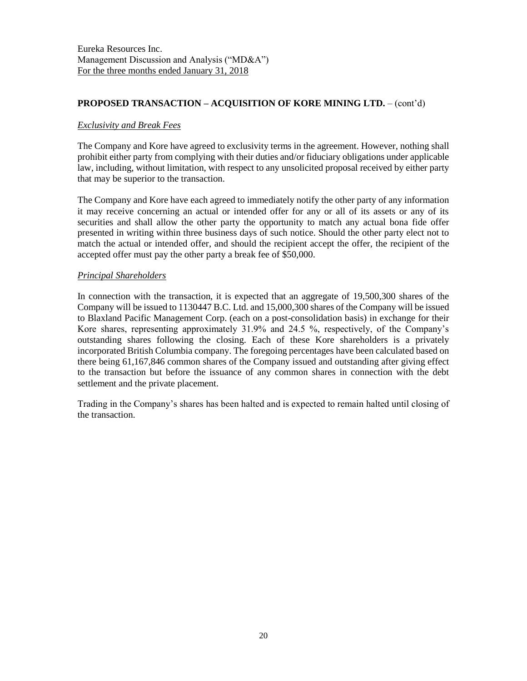## **PROPOSED TRANSACTION – ACQUISITION OF KORE MINING LTD.** – (cont'd)

## *Exclusivity and Break Fees*

The Company and Kore have agreed to exclusivity terms in the agreement. However, nothing shall prohibit either party from complying with their duties and/or fiduciary obligations under applicable law, including, without limitation, with respect to any unsolicited proposal received by either party that may be superior to the transaction.

The Company and Kore have each agreed to immediately notify the other party of any information it may receive concerning an actual or intended offer for any or all of its assets or any of its securities and shall allow the other party the opportunity to match any actual bona fide offer presented in writing within three business days of such notice. Should the other party elect not to match the actual or intended offer, and should the recipient accept the offer, the recipient of the accepted offer must pay the other party a break fee of \$50,000.

#### *Principal Shareholders*

In connection with the transaction, it is expected that an aggregate of 19,500,300 shares of the Company will be issued to 1130447 B.C. Ltd. and 15,000,300 shares of the Company will be issued to Blaxland Pacific Management Corp. (each on a post-consolidation basis) in exchange for their Kore shares, representing approximately 31.9% and 24.5 %, respectively, of the Company's outstanding shares following the closing. Each of these Kore shareholders is a privately incorporated British Columbia company. The foregoing percentages have been calculated based on there being 61,167,846 common shares of the Company issued and outstanding after giving effect to the transaction but before the issuance of any common shares in connection with the debt settlement and the private placement.

Trading in the Company's shares has been halted and is expected to remain halted until closing of the transaction.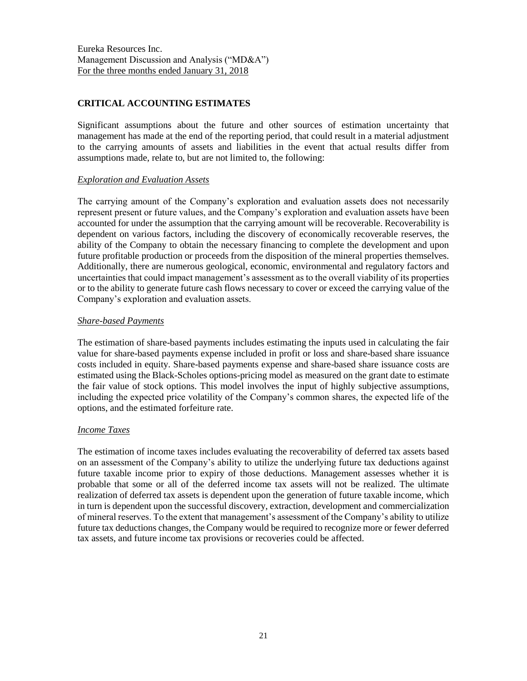## **CRITICAL ACCOUNTING ESTIMATES**

Significant assumptions about the future and other sources of estimation uncertainty that management has made at the end of the reporting period, that could result in a material adjustment to the carrying amounts of assets and liabilities in the event that actual results differ from assumptions made, relate to, but are not limited to, the following:

## *Exploration and Evaluation Assets*

The carrying amount of the Company's exploration and evaluation assets does not necessarily represent present or future values, and the Company's exploration and evaluation assets have been accounted for under the assumption that the carrying amount will be recoverable. Recoverability is dependent on various factors, including the discovery of economically recoverable reserves, the ability of the Company to obtain the necessary financing to complete the development and upon future profitable production or proceeds from the disposition of the mineral properties themselves. Additionally, there are numerous geological, economic, environmental and regulatory factors and uncertainties that could impact management's assessment as to the overall viability of its properties or to the ability to generate future cash flows necessary to cover or exceed the carrying value of the Company's exploration and evaluation assets.

## *Share-based Payments*

The estimation of share-based payments includes estimating the inputs used in calculating the fair value for share-based payments expense included in profit or loss and share-based share issuance costs included in equity. Share-based payments expense and share-based share issuance costs are estimated using the Black-Scholes options-pricing model as measured on the grant date to estimate the fair value of stock options. This model involves the input of highly subjective assumptions, including the expected price volatility of the Company's common shares, the expected life of the options, and the estimated forfeiture rate.

## *Income Taxes*

The estimation of income taxes includes evaluating the recoverability of deferred tax assets based on an assessment of the Company's ability to utilize the underlying future tax deductions against future taxable income prior to expiry of those deductions. Management assesses whether it is probable that some or all of the deferred income tax assets will not be realized. The ultimate realization of deferred tax assets is dependent upon the generation of future taxable income, which in turn is dependent upon the successful discovery, extraction, development and commercialization of mineral reserves. To the extent that management's assessment of the Company's ability to utilize future tax deductions changes, the Company would be required to recognize more or fewer deferred tax assets, and future income tax provisions or recoveries could be affected.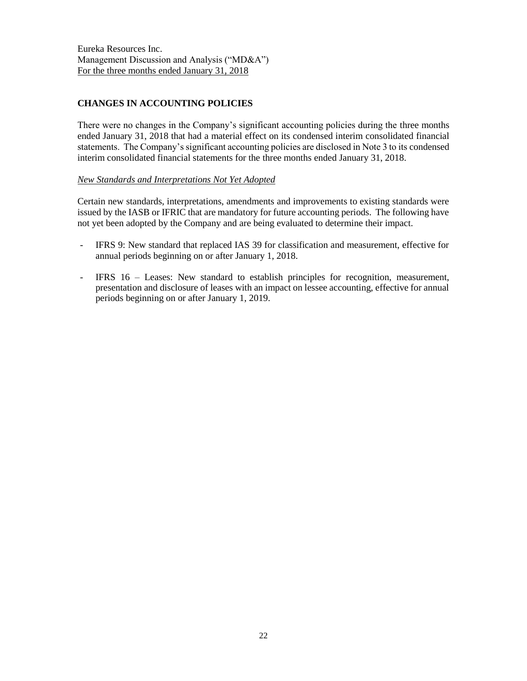# **CHANGES IN ACCOUNTING POLICIES**

There were no changes in the Company's significant accounting policies during the three months ended January 31, 2018 that had a material effect on its condensed interim consolidated financial statements. The Company's significant accounting policies are disclosed in Note 3 to its condensed interim consolidated financial statements for the three months ended January 31, 2018.

## *New Standards and Interpretations Not Yet Adopted*

Certain new standards, interpretations, amendments and improvements to existing standards were issued by the IASB or IFRIC that are mandatory for future accounting periods. The following have not yet been adopted by the Company and are being evaluated to determine their impact.

- IFRS 9: New standard that replaced IAS 39 for classification and measurement, effective for annual periods beginning on or after January 1, 2018.
- IFRS 16 Leases: New standard to establish principles for recognition, measurement, presentation and disclosure of leases with an impact on lessee accounting, effective for annual periods beginning on or after January 1, 2019.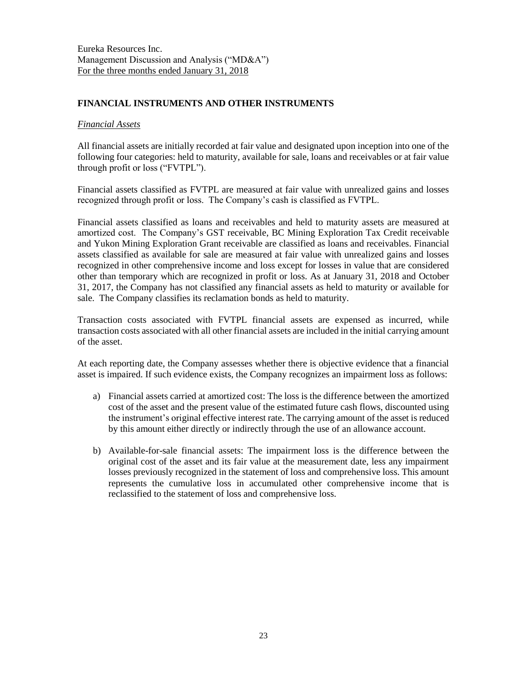## **FINANCIAL INSTRUMENTS AND OTHER INSTRUMENTS**

### *Financial Assets*

All financial assets are initially recorded at fair value and designated upon inception into one of the following four categories: held to maturity, available for sale, loans and receivables or at fair value through profit or loss ("FVTPL").

Financial assets classified as FVTPL are measured at fair value with unrealized gains and losses recognized through profit or loss. The Company's cash is classified as FVTPL.

Financial assets classified as loans and receivables and held to maturity assets are measured at amortized cost. The Company's GST receivable, BC Mining Exploration Tax Credit receivable and Yukon Mining Exploration Grant receivable are classified as loans and receivables. Financial assets classified as available for sale are measured at fair value with unrealized gains and losses recognized in other comprehensive income and loss except for losses in value that are considered other than temporary which are recognized in profit or loss. As at January 31, 2018 and October 31, 2017, the Company has not classified any financial assets as held to maturity or available for sale. The Company classifies its reclamation bonds as held to maturity.

Transaction costs associated with FVTPL financial assets are expensed as incurred, while transaction costs associated with all other financial assets are included in the initial carrying amount of the asset.

At each reporting date, the Company assesses whether there is objective evidence that a financial asset is impaired. If such evidence exists, the Company recognizes an impairment loss as follows:

- a) Financial assets carried at amortized cost: The loss is the difference between the amortized cost of the asset and the present value of the estimated future cash flows, discounted using the instrument's original effective interest rate. The carrying amount of the asset is reduced by this amount either directly or indirectly through the use of an allowance account.
- b) Available-for-sale financial assets: The impairment loss is the difference between the original cost of the asset and its fair value at the measurement date, less any impairment losses previously recognized in the statement of loss and comprehensive loss. This amount represents the cumulative loss in accumulated other comprehensive income that is reclassified to the statement of loss and comprehensive loss.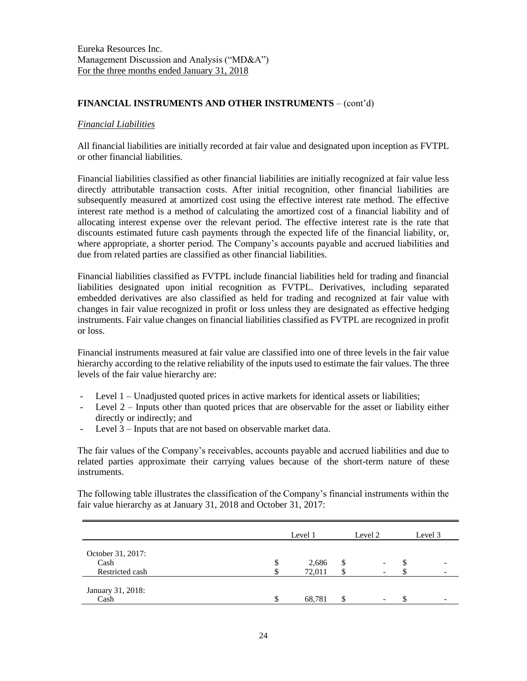## **FINANCIAL INSTRUMENTS AND OTHER INSTRUMENTS** – (cont'd)

### *Financial Liabilities*

All financial liabilities are initially recorded at fair value and designated upon inception as FVTPL or other financial liabilities.

Financial liabilities classified as other financial liabilities are initially recognized at fair value less directly attributable transaction costs. After initial recognition, other financial liabilities are subsequently measured at amortized cost using the effective interest rate method. The effective interest rate method is a method of calculating the amortized cost of a financial liability and of allocating interest expense over the relevant period. The effective interest rate is the rate that discounts estimated future cash payments through the expected life of the financial liability, or, where appropriate, a shorter period. The Company's accounts payable and accrued liabilities and due from related parties are classified as other financial liabilities.

Financial liabilities classified as FVTPL include financial liabilities held for trading and financial liabilities designated upon initial recognition as FVTPL. Derivatives, including separated embedded derivatives are also classified as held for trading and recognized at fair value with changes in fair value recognized in profit or loss unless they are designated as effective hedging instruments. Fair value changes on financial liabilities classified as FVTPL are recognized in profit or loss.

Financial instruments measured at fair value are classified into one of three levels in the fair value hierarchy according to the relative reliability of the inputs used to estimate the fair values. The three levels of the fair value hierarchy are:

- Level 1 Unadjusted quoted prices in active markets for identical assets or liabilities;
- Level  $2$  Inputs other than quoted prices that are observable for the asset or liability either directly or indirectly; and
- Level 3 Inputs that are not based on observable market data.

The fair values of the Company's receivables, accounts payable and accrued liabilities and due to related parties approximate their carrying values because of the short-term nature of these instruments.

The following table illustrates the classification of the Company's financial instruments within the fair value hierarchy as at January 31, 2018 and October 31, 2017:

|                                              |   | Level 1         | Level 2 |    | Level 3 |
|----------------------------------------------|---|-----------------|---------|----|---------|
| October 31, 2017:<br>Cash<br>Restricted cash | J | 2,686<br>72,011 | \$      | JЭ |         |
| January 31, 2018:<br>Cash                    |   | 68,781          | \$      | ۰D |         |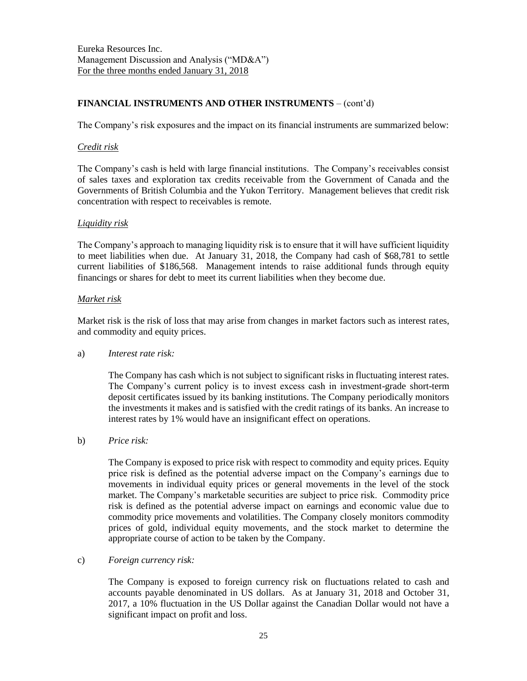# **FINANCIAL INSTRUMENTS AND OTHER INSTRUMENTS** – (cont'd)

The Company's risk exposures and the impact on its financial instruments are summarized below:

#### *Credit risk*

The Company's cash is held with large financial institutions. The Company's receivables consist of sales taxes and exploration tax credits receivable from the Government of Canada and the Governments of British Columbia and the Yukon Territory. Management believes that credit risk concentration with respect to receivables is remote.

## *Liquidity risk*

The Company's approach to managing liquidity risk is to ensure that it will have sufficient liquidity to meet liabilities when due. At January 31, 2018, the Company had cash of \$68,781 to settle current liabilities of \$186,568. Management intends to raise additional funds through equity financings or shares for debt to meet its current liabilities when they become due.

## *Market risk*

Market risk is the risk of loss that may arise from changes in market factors such as interest rates, and commodity and equity prices.

#### a) *Interest rate risk:*

The Company has cash which is not subject to significant risks in fluctuating interest rates. The Company's current policy is to invest excess cash in investment-grade short-term deposit certificates issued by its banking institutions. The Company periodically monitors the investments it makes and is satisfied with the credit ratings of its banks. An increase to interest rates by 1% would have an insignificant effect on operations.

b) *Price risk:*

The Company is exposed to price risk with respect to commodity and equity prices. Equity price risk is defined as the potential adverse impact on the Company's earnings due to movements in individual equity prices or general movements in the level of the stock market. The Company's marketable securities are subject to price risk. Commodity price risk is defined as the potential adverse impact on earnings and economic value due to commodity price movements and volatilities. The Company closely monitors commodity prices of gold, individual equity movements, and the stock market to determine the appropriate course of action to be taken by the Company.

## c) *Foreign currency risk:*

The Company is exposed to foreign currency risk on fluctuations related to cash and accounts payable denominated in US dollars. As at January 31, 2018 and October 31, 2017, a 10% fluctuation in the US Dollar against the Canadian Dollar would not have a significant impact on profit and loss.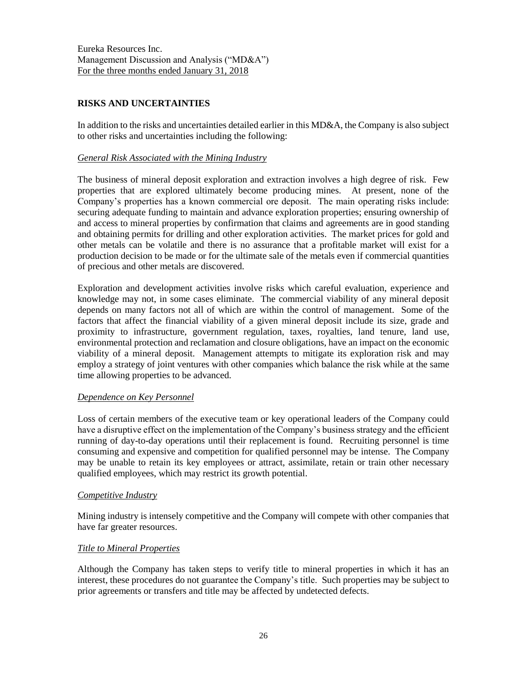# **RISKS AND UNCERTAINTIES**

In addition to the risks and uncertainties detailed earlier in this MD&A, the Company is also subject to other risks and uncertainties including the following:

## *General Risk Associated with the Mining Industry*

The business of mineral deposit exploration and extraction involves a high degree of risk. Few properties that are explored ultimately become producing mines. At present, none of the Company's properties has a known commercial ore deposit. The main operating risks include: securing adequate funding to maintain and advance exploration properties; ensuring ownership of and access to mineral properties by confirmation that claims and agreements are in good standing and obtaining permits for drilling and other exploration activities. The market prices for gold and other metals can be volatile and there is no assurance that a profitable market will exist for a production decision to be made or for the ultimate sale of the metals even if commercial quantities of precious and other metals are discovered.

Exploration and development activities involve risks which careful evaluation, experience and knowledge may not, in some cases eliminate. The commercial viability of any mineral deposit depends on many factors not all of which are within the control of management. Some of the factors that affect the financial viability of a given mineral deposit include its size, grade and proximity to infrastructure, government regulation, taxes, royalties, land tenure, land use, environmental protection and reclamation and closure obligations, have an impact on the economic viability of a mineral deposit. Management attempts to mitigate its exploration risk and may employ a strategy of joint ventures with other companies which balance the risk while at the same time allowing properties to be advanced.

## *Dependence on Key Personnel*

Loss of certain members of the executive team or key operational leaders of the Company could have a disruptive effect on the implementation of the Company's business strategy and the efficient running of day-to-day operations until their replacement is found. Recruiting personnel is time consuming and expensive and competition for qualified personnel may be intense. The Company may be unable to retain its key employees or attract, assimilate, retain or train other necessary qualified employees, which may restrict its growth potential.

## *Competitive Industry*

Mining industry is intensely competitive and the Company will compete with other companies that have far greater resources.

## *Title to Mineral Properties*

Although the Company has taken steps to verify title to mineral properties in which it has an interest, these procedures do not guarantee the Company's title. Such properties may be subject to prior agreements or transfers and title may be affected by undetected defects.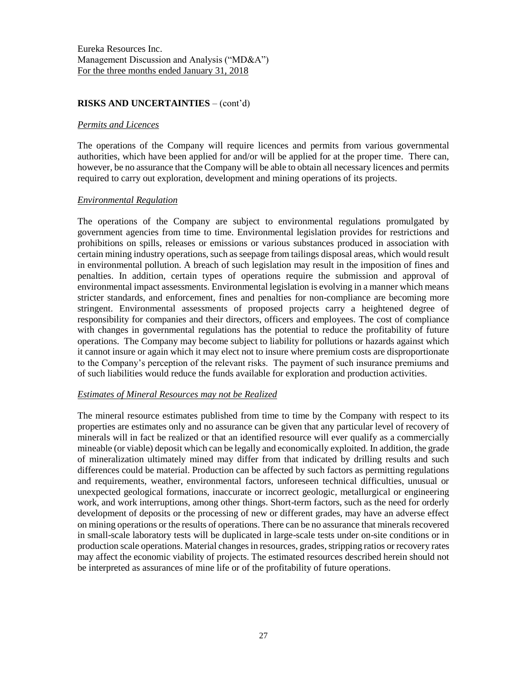### **RISKS AND UNCERTAINTIES** – (cont'd)

#### *Permits and Licences*

The operations of the Company will require licences and permits from various governmental authorities, which have been applied for and/or will be applied for at the proper time. There can, however, be no assurance that the Company will be able to obtain all necessary licences and permits required to carry out exploration, development and mining operations of its projects.

#### *Environmental Regulation*

The operations of the Company are subject to environmental regulations promulgated by government agencies from time to time. Environmental legislation provides for restrictions and prohibitions on spills, releases or emissions or various substances produced in association with certain mining industry operations, such as seepage from tailings disposal areas, which would result in environmental pollution. A breach of such legislation may result in the imposition of fines and penalties. In addition, certain types of operations require the submission and approval of environmental impact assessments. Environmental legislation is evolving in a manner which means stricter standards, and enforcement, fines and penalties for non-compliance are becoming more stringent. Environmental assessments of proposed projects carry a heightened degree of responsibility for companies and their directors, officers and employees. The cost of compliance with changes in governmental regulations has the potential to reduce the profitability of future operations. The Company may become subject to liability for pollutions or hazards against which it cannot insure or again which it may elect not to insure where premium costs are disproportionate to the Company's perception of the relevant risks. The payment of such insurance premiums and of such liabilities would reduce the funds available for exploration and production activities.

#### *Estimates of Mineral Resources may not be Realized*

The mineral resource estimates published from time to time by the Company with respect to its properties are estimates only and no assurance can be given that any particular level of recovery of minerals will in fact be realized or that an identified resource will ever qualify as a commercially mineable (or viable) deposit which can be legally and economically exploited. In addition, the grade of mineralization ultimately mined may differ from that indicated by drilling results and such differences could be material. Production can be affected by such factors as permitting regulations and requirements, weather, environmental factors, unforeseen technical difficulties, unusual or unexpected geological formations, inaccurate or incorrect geologic, metallurgical or engineering work, and work interruptions, among other things. Short-term factors, such as the need for orderly development of deposits or the processing of new or different grades, may have an adverse effect on mining operations or the results of operations. There can be no assurance that minerals recovered in small-scale laboratory tests will be duplicated in large-scale tests under on-site conditions or in production scale operations. Material changes in resources, grades, stripping ratios or recovery rates may affect the economic viability of projects. The estimated resources described herein should not be interpreted as assurances of mine life or of the profitability of future operations.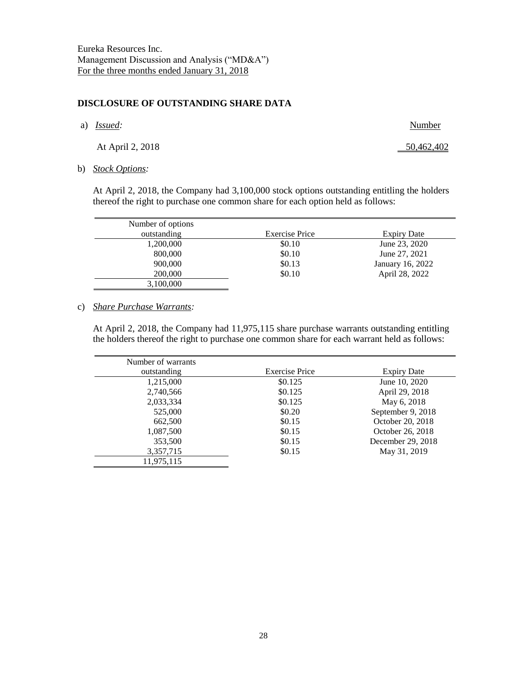#### **DISCLOSURE OF OUTSTANDING SHARE DATA**

a) *Issued:* Number

At April 2, 2018 50,462,402

b) *Stock Options:*

At April 2, 2018, the Company had 3,100,000 stock options outstanding entitling the holders thereof the right to purchase one common share for each option held as follows:

| Number of options |                       |                  |
|-------------------|-----------------------|------------------|
| outstanding       | <b>Exercise Price</b> | Expiry Date      |
| 1,200,000         | \$0.10                | June 23, 2020    |
| 800,000           | \$0.10                | June 27, 2021    |
| 900,000           | \$0.13                | January 16, 2022 |
| 200,000           | \$0.10                | April 28, 2022   |
| 3,100,000         |                       |                  |

#### c) *Share Purchase Warrants:*

At April 2, 2018, the Company had 11,975,115 share purchase warrants outstanding entitling the holders thereof the right to purchase one common share for each warrant held as follows:

| Number of warrants |                       |                    |
|--------------------|-----------------------|--------------------|
| outstanding        | <b>Exercise Price</b> | <b>Expiry Date</b> |
| 1,215,000          | \$0.125               | June 10, 2020      |
| 2,740,566          | \$0.125               | April 29, 2018     |
| 2,033,334          | \$0.125               | May 6, 2018        |
| 525,000            | \$0.20                | September 9, 2018  |
| 662,500            | \$0.15                | October 20, 2018   |
| 1,087,500          | \$0.15                | October 26, 2018   |
| 353,500            | \$0.15                | December 29, 2018  |
| 3,357,715          | \$0.15                | May 31, 2019       |
| 11,975,115         |                       |                    |